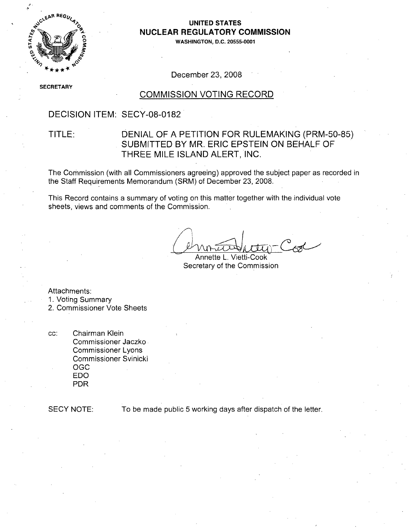

# **NUCLEAR** REGULATORY **COMMISSION**

**0 WASHINGTON, D.C. 20555-0001**

December 23, 2008

**SE** CRETARY

#### COMMISSION VOTING RECORD

#### DECISION ITEM: SECY-08-0182

#### TITLE: DENIAL OF A PETITION FOR RULEMAKING (PRM-50-85) SUBMITTED BY MR. ERIC EPSTEIN ON BEHALF OF THREE MILE ISLAND ALERT, INC.

The Commission (with all Commissioners agreeing) approved the subject paper as recorded in the Staff Requirements Memorandum (SRM) of December 23, 2008.

This Record contains a summary of voting on this matter together with the individual vote sheets, views and comments of the Commission.

Annette L. Vietti-Cook Secretary of the Commission

Attachments:

1. Voting Summary

2. Commissioner Vote Sheets

cc: Chairman Klein Commissioner Jaczko Commissioner Lyons Commissioner Svinicki OGC EDO PDR

SECY NOTE: To be made public 5 working days after dispatch of the letter.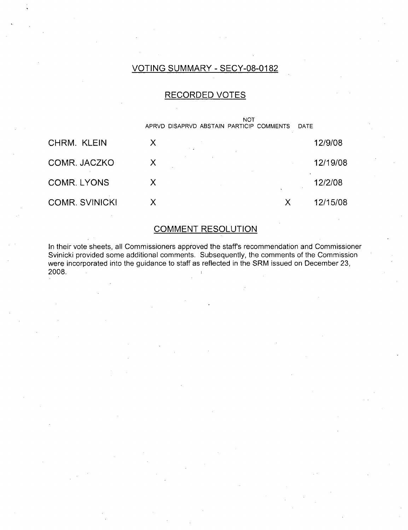#### VOTING SUMMARY - SECY-08-0182

#### RECORDED VOTES

|                       | APRVD DISAPRVD ABSTAIN PARTICIP COMMENTS | <b>NOT</b><br><b>DATE</b> |          |
|-----------------------|------------------------------------------|---------------------------|----------|
| CHRM. KLEIN           | Х                                        |                           | 12/9/08  |
| COMR. JACZKO          | Х                                        |                           | 12/19/08 |
| <b>COMR. LYONS</b>    | X                                        |                           | 12/2/08  |
| <b>COMR. SVINICKI</b> | х                                        | X                         | 12/15/08 |

## COMMENT RESOLUTION

In their vote sheets, all Commissioners approved the staffs recommendation and Commissioner Svinicki provided some additional comments. Subsequently, the comments of the Commission were incorporated into the guidance to staff as reflected in the SRM issued on December 23, 2008. **j**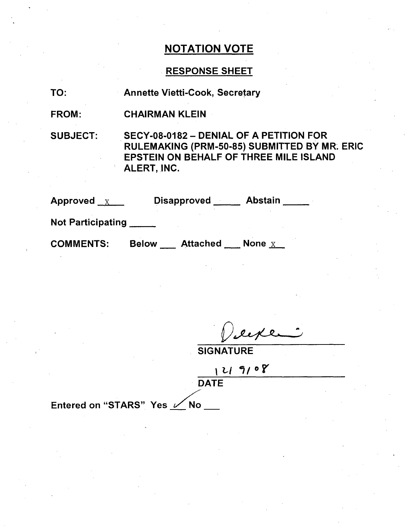## RESPONSE SHEET

TO: Annette Vietti-Cook, Secretary

FROM: CHAIRMAN KLEIN

SUBJECT:

SECY-08-0182 - DENIAL OF A PETITION FOR RULEMAKING (PRM-50-85) SUBMITTED BY MR. ERIC EPSTEIN ON BEHALF OF THREE MILE ISLAND ALERT, INC.

| Approved $X$             | <b>Disapproved</b>              | <b>Abstain</b> |
|--------------------------|---------------------------------|----------------|
| <b>Not Participating</b> |                                 |                |
| <b>COMMENTS:</b>         | <b>Attached</b><br><b>Below</b> | None $X$       |

eeke

**SIGNATURE** 

**I -l 1•/0 DATE** 

Entered on "STARS" Yes  $\angle$  No \_\_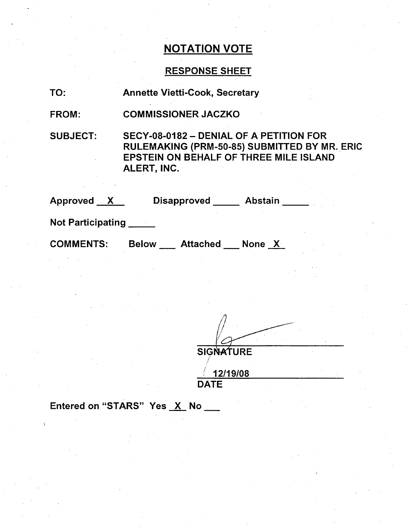## RESPONSE SHEET

| Ο.<br>1 |  |
|---------|--|
|         |  |

Annette Vietti-Cook, Secretary

FROM: COMMISSIONER JACZKO

SUBJECT:

SECY-08-0182 - DENIAL OF A PETITION FOR RULEMAKING (PRM-50-85) SUBMITTED BY MR. ERIC EPSTEIN ON BEHALF OF THREE MILE ISLAND ALERT, INC.

| <b>Approved</b><br>$\mathbf{X}$ |              | <b>Disapproved</b> | <b>Abstain</b> |  |
|---------------------------------|--------------|--------------------|----------------|--|
| <b>Not Participating</b>        |              |                    |                |  |
| <b>COMMENTS:</b>                | <b>Below</b> | <b>Attached</b>    | None $X$       |  |
|                                 |              |                    |                |  |

**SIGNATURE** 

12/19/08 DATE

Entered on "STARS" Yes X No \_\_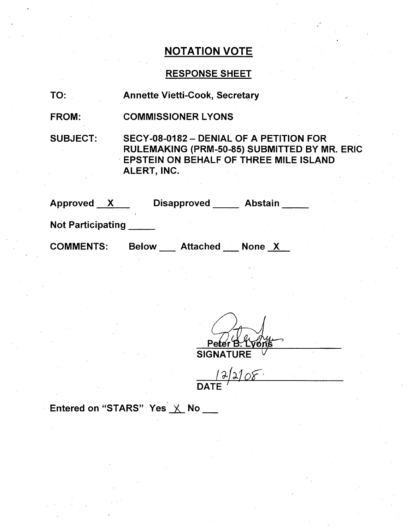## RESPONSE SHEET

| TO:                      | <b>Annette Vietti-Cook, Secretary</b>                                                                                                                   |
|--------------------------|---------------------------------------------------------------------------------------------------------------------------------------------------------|
| FROM:                    | <b>COMMISSIONER LYONS</b>                                                                                                                               |
| <b>SUBJECT:</b>          | SECY-08-0182 - DENIAL OF A PETITION FOR<br>RULEMAKING (PRM-50-85) SUBMITTED BY MR. ERIC<br><b>EPSTEIN ON BEHALF OF THREE MILE ISLAND</b><br>ALERT, INC. |
| Approved X               | Disapproved<br><b>Abstain</b>                                                                                                                           |
| <b>Not Participating</b> |                                                                                                                                                         |

COMMENTS: Below \_\_\_ Attached \_\_\_ None \_<u>X</u>

Peter B. Ly<br>SIGNATURE

 $12/2108$ 

Entered on "STARS" Yes  $\times$  No \_\_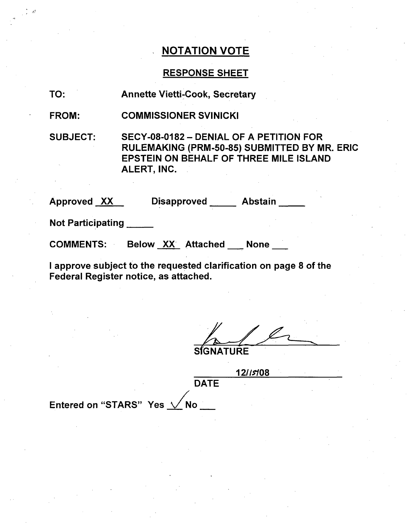#### RESPONSE SHEET

TO: Annette Vietti-Cook, Secretary

FROM: COMMISSIONER SVINICKI

SUBJECT: SECY-08-0182 - DENIAL OF A PETITION FOR RULEMAKING (PRM-50-85) SUBMITTED BY MR. ERIC EPSTEIN ON BEHALF OF THREE MILE ISLAND ALERT, INC.

Approved XX Disapproved Abstain

Not Participating

COMMENTS: Below XX Attached None

I approve subject to the requested clarification on page 8 of the Federal Register notice, as attached.

**SIGNATURE** 

**12//5108** DATE Entered on "STARS" Yes  $\sqrt{}$  No